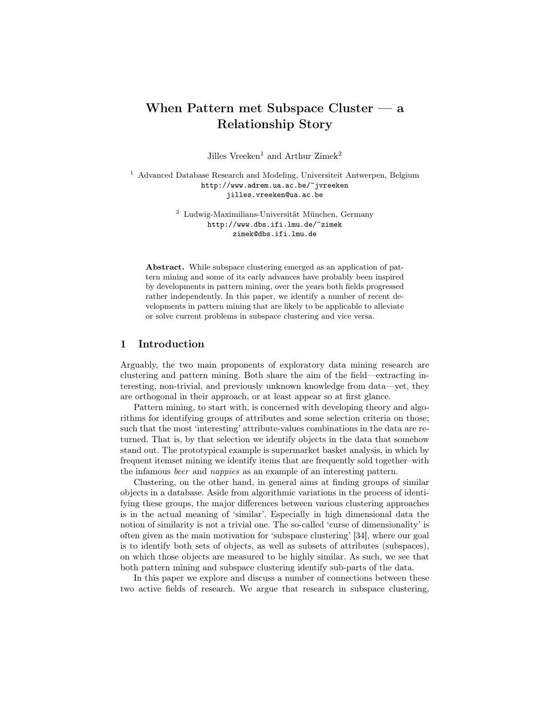# When Pattern met Subspace Cluster — a Relationship Story

Jilles Vreeken<sup>1</sup> and Arthur Zimek<sup>2</sup>

<sup>1</sup> Advanced Database Research and Modeling, Universiteit Antwerpen, Belgium http://www.adrem.ua.ac.be/~jvreeken jilles.vreeken@ua.ac.be

> <sup>2</sup> Ludwig-Maximilians-Universität München, Germany http://www.dbs.ifi.lmu.de/~zimek zimek@dbs.ifi.lmu.de

Abstract. While subspace clustering emerged as an application of pattern mining and some of its early advances have probably been inspired by developments in pattern mining, over the years both fields progressed rather independently. In this paper, we identify a number of recent developments in pattern mining that are likely to be applicable to alleviate or solve current problems in subspace clustering and vice versa.

## 1 Introduction

Arguably, the two main proponents of exploratory data mining research are clustering and pattern mining. Both share the aim of the field—extracting interesting, non-trivial, and previously unknown knowledge from data—yet, they are orthogonal in their approach, or at least appear so at first glance.

Pattern mining, to start with, is concerned with developing theory and algorithms for identifying groups of attributes and some selection criteria on those; such that the most 'interesting' attribute-values combinations in the data are returned. That is, by that selection we identify objects in the data that somehow stand out. The prototypical example is supermarket basket analysis, in which by frequent itemset mining we identify items that are frequently sold together–with the infamous beer and nappies as an example of an interesting pattern.

Clustering, on the other hand, in general aims at finding groups of similar objects in a database. Aside from algorithmic variations in the process of identifying these groups, the major differences between various clustering approaches is in the actual meaning of 'similar'. Especially in high dimensional data the notion of similarity is not a trivial one. The so-called 'curse of dimensionality' is often given as the main motivation for 'subspace clustering' [34], where our goal is to identify both sets of objects, as well as subsets of attributes (subspaces), on which those objects are measured to be highly similar. As such, we see that both pattern mining and subspace clustering identify sub-parts of the data.

In this paper we explore and discuss a number of connections between these two active fields of research. We argue that research in subspace clustering,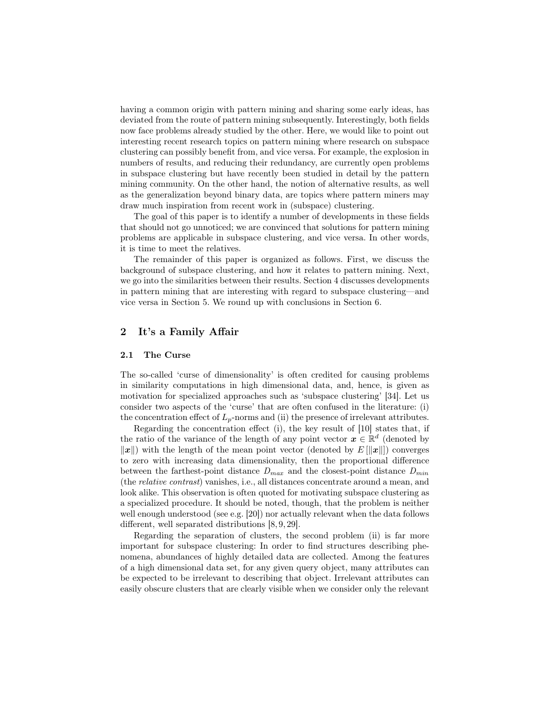having a common origin with pattern mining and sharing some early ideas, has deviated from the route of pattern mining subsequently. Interestingly, both fields now face problems already studied by the other. Here, we would like to point out interesting recent research topics on pattern mining where research on subspace clustering can possibly benefit from, and vice versa. For example, the explosion in numbers of results, and reducing their redundancy, are currently open problems in subspace clustering but have recently been studied in detail by the pattern mining community. On the other hand, the notion of alternative results, as well as the generalization beyond binary data, are topics where pattern miners may draw much inspiration from recent work in (subspace) clustering.

The goal of this paper is to identify a number of developments in these fields that should not go unnoticed; we are convinced that solutions for pattern mining problems are applicable in subspace clustering, and vice versa. In other words, it is time to meet the relatives.

The remainder of this paper is organized as follows. First, we discuss the background of subspace clustering, and how it relates to pattern mining. Next, we go into the similarities between their results. Section 4 discusses developments in pattern mining that are interesting with regard to subspace clustering—and vice versa in Section 5. We round up with conclusions in Section 6.

## 2 It's a Family Affair

#### 2.1 The Curse

The so-called 'curse of dimensionality' is often credited for causing problems in similarity computations in high dimensional data, and, hence, is given as motivation for specialized approaches such as 'subspace clustering' [34]. Let us consider two aspects of the 'curse' that are often confused in the literature: (i) the concentration effect of  $L_p$ -norms and (ii) the presence of irrelevant attributes.

Regarding the concentration effect (i), the key result of [10] states that, if the ratio of the variance of the length of any point vector  $\mathbf{x} \in \mathbb{R}^d$  (denoted by  $\|\boldsymbol{x}\|$  with the length of the mean point vector (denoted by  $E[\|\boldsymbol{x}\|]$ ) converges to zero with increasing data dimensionality, then the proportional difference between the farthest-point distance  $D_{max}$  and the closest-point distance  $D_{min}$ (the relative contrast) vanishes, i.e., all distances concentrate around a mean, and look alike. This observation is often quoted for motivating subspace clustering as a specialized procedure. It should be noted, though, that the problem is neither well enough understood (see e.g. [20]) nor actually relevant when the data follows different, well separated distributions [8, 9, 29].

Regarding the separation of clusters, the second problem (ii) is far more important for subspace clustering: In order to find structures describing phenomena, abundances of highly detailed data are collected. Among the features of a high dimensional data set, for any given query object, many attributes can be expected to be irrelevant to describing that object. Irrelevant attributes can easily obscure clusters that are clearly visible when we consider only the relevant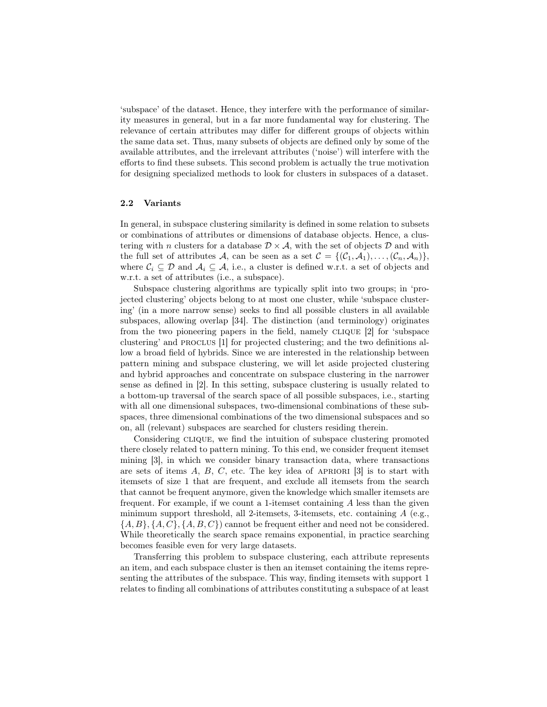'subspace' of the dataset. Hence, they interfere with the performance of similarity measures in general, but in a far more fundamental way for clustering. The relevance of certain attributes may differ for different groups of objects within the same data set. Thus, many subsets of objects are defined only by some of the available attributes, and the irrelevant attributes ('noise') will interfere with the efforts to find these subsets. This second problem is actually the true motivation for designing specialized methods to look for clusters in subspaces of a dataset.

#### 2.2 Variants

In general, in subspace clustering similarity is defined in some relation to subsets or combinations of attributes or dimensions of database objects. Hence, a clustering with *n* clusters for a database  $\mathcal{D} \times \mathcal{A}$ , with the set of objects  $\mathcal{D}$  and with the full set of attributes A, can be seen as a set  $\mathcal{C} = \{(\mathcal{C}_1, \mathcal{A}_1), \ldots, (\mathcal{C}_n, \mathcal{A}_n)\},\$ where  $C_i \subseteq \mathcal{D}$  and  $\mathcal{A}_i \subseteq \mathcal{A}$ , i.e., a cluster is defined w.r.t. a set of objects and w.r.t. a set of attributes (i.e., a subspace).

Subspace clustering algorithms are typically split into two groups; in 'projected clustering' objects belong to at most one cluster, while 'subspace clustering' (in a more narrow sense) seeks to find all possible clusters in all available subspaces, allowing overlap [34]. The distinction (and terminology) originates from the two pioneering papers in the field, namely clique [2] for 'subspace clustering' and proclus [1] for projected clustering; and the two definitions allow a broad field of hybrids. Since we are interested in the relationship between pattern mining and subspace clustering, we will let aside projected clustering and hybrid approaches and concentrate on subspace clustering in the narrower sense as defined in [2]. In this setting, subspace clustering is usually related to a bottom-up traversal of the search space of all possible subspaces, i.e., starting with all one dimensional subspaces, two-dimensional combinations of these subspaces, three dimensional combinations of the two dimensional subspaces and so on, all (relevant) subspaces are searched for clusters residing therein.

Considering clique, we find the intuition of subspace clustering promoted there closely related to pattern mining. To this end, we consider frequent itemset mining [3], in which we consider binary transaction data, where transactions are sets of items  $A, B, C$ , etc. The key idea of APRIORI [3] is to start with itemsets of size 1 that are frequent, and exclude all itemsets from the search that cannot be frequent anymore, given the knowledge which smaller itemsets are frequent. For example, if we count a 1-itemset containing A less than the given minimum support threshold, all 2-itemsets, 3-itemsets, etc. containing  $A$  (e.g.,  ${A, B}, {A, C}, {A, B, C}$  cannot be frequent either and need not be considered. While theoretically the search space remains exponential, in practice searching becomes feasible even for very large datasets.

Transferring this problem to subspace clustering, each attribute represents an item, and each subspace cluster is then an itemset containing the items representing the attributes of the subspace. This way, finding itemsets with support 1 relates to finding all combinations of attributes constituting a subspace of at least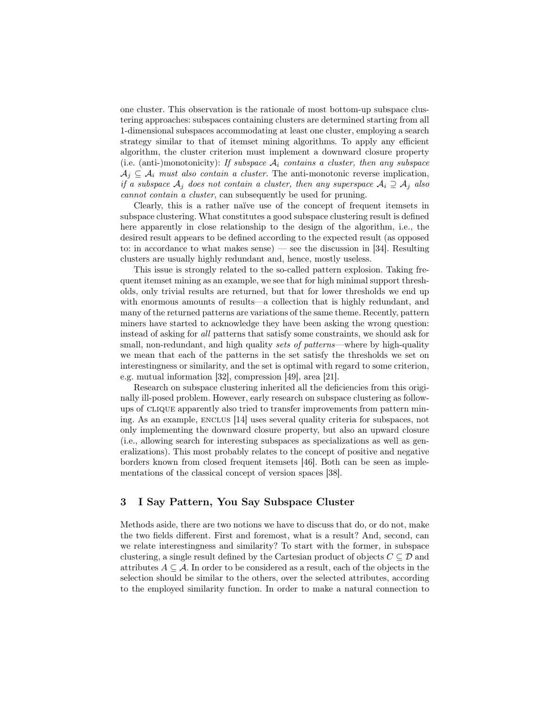one cluster. This observation is the rationale of most bottom-up subspace clustering approaches: subspaces containing clusters are determined starting from all 1-dimensional subspaces accommodating at least one cluster, employing a search strategy similar to that of itemset mining algorithms. To apply any efficient algorithm, the cluster criterion must implement a downward closure property (i.e. (anti-)monotonicity): If subspace  $A_i$  contains a cluster, then any subspace  $A_i \subseteq A_i$  must also contain a cluster. The anti-monotonic reverse implication, if a subspace  $A_i$  does not contain a cluster, then any superspace  $A_i \supseteq A_j$  also cannot contain a cluster, can subsequently be used for pruning.

Clearly, this is a rather naïve use of the concept of frequent itemsets in subspace clustering. What constitutes a good subspace clustering result is defined here apparently in close relationship to the design of the algorithm, i.e., the desired result appears to be defined according to the expected result (as opposed to: in accordance to what makes sense) — see the discussion in [34]. Resulting clusters are usually highly redundant and, hence, mostly useless.

This issue is strongly related to the so-called pattern explosion. Taking frequent itemset mining as an example, we see that for high minimal support thresholds, only trivial results are returned, but that for lower thresholds we end up with enormous amounts of results—a collection that is highly redundant, and many of the returned patterns are variations of the same theme. Recently, pattern miners have started to acknowledge they have been asking the wrong question: instead of asking for all patterns that satisfy some constraints, we should ask for small, non-redundant, and high quality sets of patterns—where by high-quality we mean that each of the patterns in the set satisfy the thresholds we set on interestingness or similarity, and the set is optimal with regard to some criterion, e.g. mutual information [32], compression [49], area [21].

Research on subspace clustering inherited all the deficiencies from this originally ill-posed problem. However, early research on subspace clustering as followups of clique apparently also tried to transfer improvements from pattern mining. As an example, enclus [14] uses several quality criteria for subspaces, not only implementing the downward closure property, but also an upward closure (i.e., allowing search for interesting subspaces as specializations as well as generalizations). This most probably relates to the concept of positive and negative borders known from closed frequent itemsets [46]. Both can be seen as implementations of the classical concept of version spaces [38].

## 3 I Say Pattern, You Say Subspace Cluster

Methods aside, there are two notions we have to discuss that do, or do not, make the two fields different. First and foremost, what is a result? And, second, can we relate interestingness and similarity? To start with the former, in subspace clustering, a single result defined by the Cartesian product of objects  $C \subseteq \mathcal{D}$  and attributes  $A \subseteq \mathcal{A}$ . In order to be considered as a result, each of the objects in the selection should be similar to the others, over the selected attributes, according to the employed similarity function. In order to make a natural connection to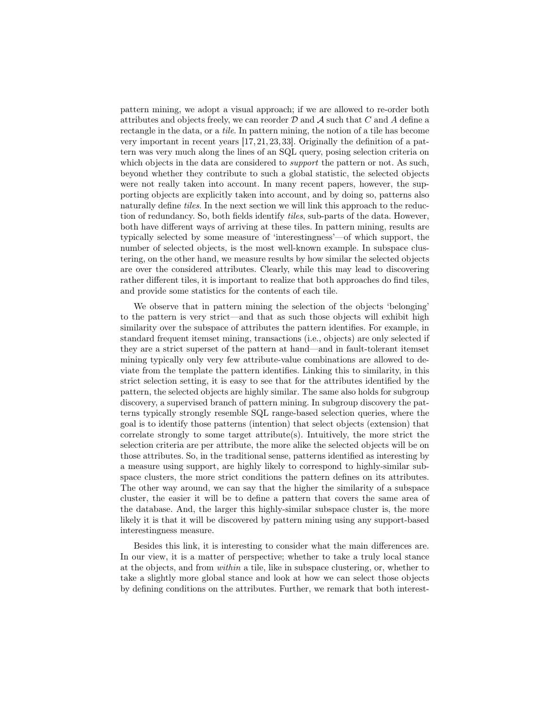pattern mining, we adopt a visual approach; if we are allowed to re-order both attributes and objects freely, we can reorder  $\mathcal D$  and  $\mathcal A$  such that  $C$  and  $\mathcal A$  define a rectangle in the data, or a tile. In pattern mining, the notion of a tile has become very important in recent years [17, 21, 23, 33]. Originally the definition of a pattern was very much along the lines of an SQL query, posing selection criteria on which objects in the data are considered to *support* the pattern or not. As such, beyond whether they contribute to such a global statistic, the selected objects were not really taken into account. In many recent papers, however, the supporting objects are explicitly taken into account, and by doing so, patterns also naturally define tiles. In the next section we will link this approach to the reduction of redundancy. So, both fields identify tiles, sub-parts of the data. However, both have different ways of arriving at these tiles. In pattern mining, results are typically selected by some measure of 'interestingness'—of which support, the number of selected objects, is the most well-known example. In subspace clustering, on the other hand, we measure results by how similar the selected objects are over the considered attributes. Clearly, while this may lead to discovering rather different tiles, it is important to realize that both approaches do find tiles, and provide some statistics for the contents of each tile.

We observe that in pattern mining the selection of the objects 'belonging' to the pattern is very strict—and that as such those objects will exhibit high similarity over the subspace of attributes the pattern identifies. For example, in standard frequent itemset mining, transactions (i.e., objects) are only selected if they are a strict superset of the pattern at hand—and in fault-tolerant itemset mining typically only very few attribute-value combinations are allowed to deviate from the template the pattern identifies. Linking this to similarity, in this strict selection setting, it is easy to see that for the attributes identified by the pattern, the selected objects are highly similar. The same also holds for subgroup discovery, a supervised branch of pattern mining. In subgroup discovery the patterns typically strongly resemble SQL range-based selection queries, where the goal is to identify those patterns (intention) that select objects (extension) that correlate strongly to some target attribute(s). Intuitively, the more strict the selection criteria are per attribute, the more alike the selected objects will be on those attributes. So, in the traditional sense, patterns identified as interesting by a measure using support, are highly likely to correspond to highly-similar subspace clusters, the more strict conditions the pattern defines on its attributes. The other way around, we can say that the higher the similarity of a subspace cluster, the easier it will be to define a pattern that covers the same area of the database. And, the larger this highly-similar subspace cluster is, the more likely it is that it will be discovered by pattern mining using any support-based interestingness measure.

Besides this link, it is interesting to consider what the main differences are. In our view, it is a matter of perspective; whether to take a truly local stance at the objects, and from within a tile, like in subspace clustering, or, whether to take a slightly more global stance and look at how we can select those objects by defining conditions on the attributes. Further, we remark that both interest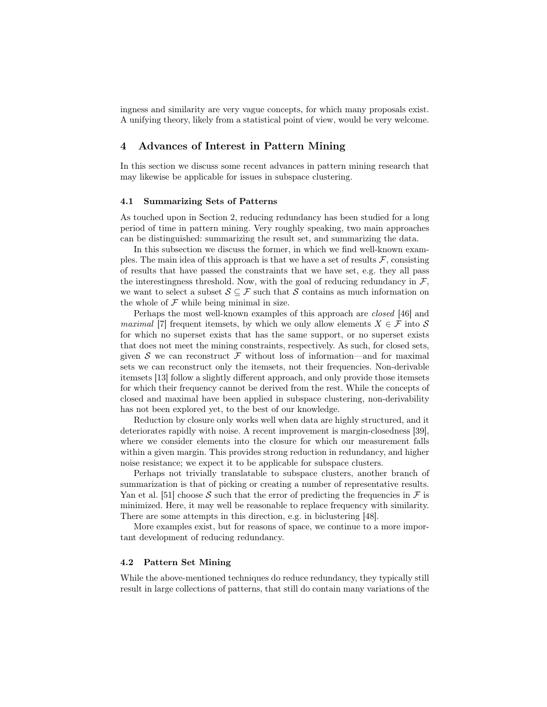ingness and similarity are very vague concepts, for which many proposals exist. A unifying theory, likely from a statistical point of view, would be very welcome.

## 4 Advances of Interest in Pattern Mining

In this section we discuss some recent advances in pattern mining research that may likewise be applicable for issues in subspace clustering.

#### 4.1 Summarizing Sets of Patterns

As touched upon in Section 2, reducing redundancy has been studied for a long period of time in pattern mining. Very roughly speaking, two main approaches can be distinguished: summarizing the result set, and summarizing the data.

In this subsection we discuss the former, in which we find well-known examples. The main idea of this approach is that we have a set of results  $\mathcal{F}$ , consisting of results that have passed the constraints that we have set, e.g. they all pass the interestingness threshold. Now, with the goal of reducing redundancy in  $\mathcal{F}$ , we want to select a subset  $S \subseteq \mathcal{F}$  such that S contains as much information on the whole of  $\mathcal F$  while being minimal in size.

Perhaps the most well-known examples of this approach are closed [46] and *maximal* [7] frequent itemsets, by which we only allow elements  $X \in \mathcal{F}$  into S for which no superset exists that has the same support, or no superset exists that does not meet the mining constraints, respectively. As such, for closed sets, given S we can reconstruct  $\mathcal F$  without loss of information—and for maximal sets we can reconstruct only the itemsets, not their frequencies. Non-derivable itemsets [13] follow a slightly different approach, and only provide those itemsets for which their frequency cannot be derived from the rest. While the concepts of closed and maximal have been applied in subspace clustering, non-derivability has not been explored yet, to the best of our knowledge.

Reduction by closure only works well when data are highly structured, and it deteriorates rapidly with noise. A recent improvement is margin-closedness [39], where we consider elements into the closure for which our measurement falls within a given margin. This provides strong reduction in redundancy, and higher noise resistance; we expect it to be applicable for subspace clusters.

Perhaps not trivially translatable to subspace clusters, another branch of summarization is that of picking or creating a number of representative results. Yan et al. [51] choose S such that the error of predicting the frequencies in  $\mathcal F$  is minimized. Here, it may well be reasonable to replace frequency with similarity. There are some attempts in this direction, e.g. in biclustering [48].

More examples exist, but for reasons of space, we continue to a more important development of reducing redundancy.

### 4.2 Pattern Set Mining

While the above-mentioned techniques do reduce redundancy, they typically still result in large collections of patterns, that still do contain many variations of the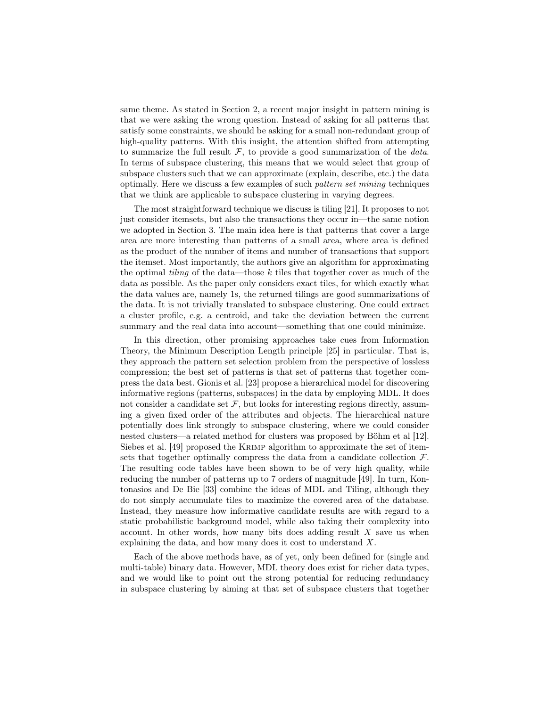same theme. As stated in Section 2, a recent major insight in pattern mining is that we were asking the wrong question. Instead of asking for all patterns that satisfy some constraints, we should be asking for a small non-redundant group of high-quality patterns. With this insight, the attention shifted from attempting to summarize the full result  $F$ , to provide a good summarization of the *data*. In terms of subspace clustering, this means that we would select that group of subspace clusters such that we can approximate (explain, describe, etc.) the data optimally. Here we discuss a few examples of such pattern set mining techniques that we think are applicable to subspace clustering in varying degrees.

The most straightforward technique we discuss is tiling [21]. It proposes to not just consider itemsets, but also the transactions they occur in—the same notion we adopted in Section 3. The main idea here is that patterns that cover a large area are more interesting than patterns of a small area, where area is defined as the product of the number of items and number of transactions that support the itemset. Most importantly, the authors give an algorithm for approximating the optimal *tiling* of the data—those  $k$  tiles that together cover as much of the data as possible. As the paper only considers exact tiles, for which exactly what the data values are, namely 1s, the returned tilings are good summarizations of the data. It is not trivially translated to subspace clustering. One could extract a cluster profile, e.g. a centroid, and take the deviation between the current summary and the real data into account—something that one could minimize.

In this direction, other promising approaches take cues from Information Theory, the Minimum Description Length principle [25] in particular. That is, they approach the pattern set selection problem from the perspective of lossless compression; the best set of patterns is that set of patterns that together compress the data best. Gionis et al. [23] propose a hierarchical model for discovering informative regions (patterns, subspaces) in the data by employing MDL. It does not consider a candidate set  $\mathcal{F}$ , but looks for interesting regions directly, assuming a given fixed order of the attributes and objects. The hierarchical nature potentially does link strongly to subspace clustering, where we could consider nested clusters—a related method for clusters was proposed by Böhm et al [12]. Siebes et al. [49] proposed the Krimp algorithm to approximate the set of itemsets that together optimally compress the data from a candidate collection  $\mathcal{F}$ . The resulting code tables have been shown to be of very high quality, while reducing the number of patterns up to 7 orders of magnitude [49]. In turn, Kontonasios and De Bie [33] combine the ideas of MDL and Tiling, although they do not simply accumulate tiles to maximize the covered area of the database. Instead, they measure how informative candidate results are with regard to a static probabilistic background model, while also taking their complexity into account. In other words, how many bits does adding result X save us when explaining the data, and how many does it cost to understand X.

Each of the above methods have, as of yet, only been defined for (single and multi-table) binary data. However, MDL theory does exist for richer data types, and we would like to point out the strong potential for reducing redundancy in subspace clustering by aiming at that set of subspace clusters that together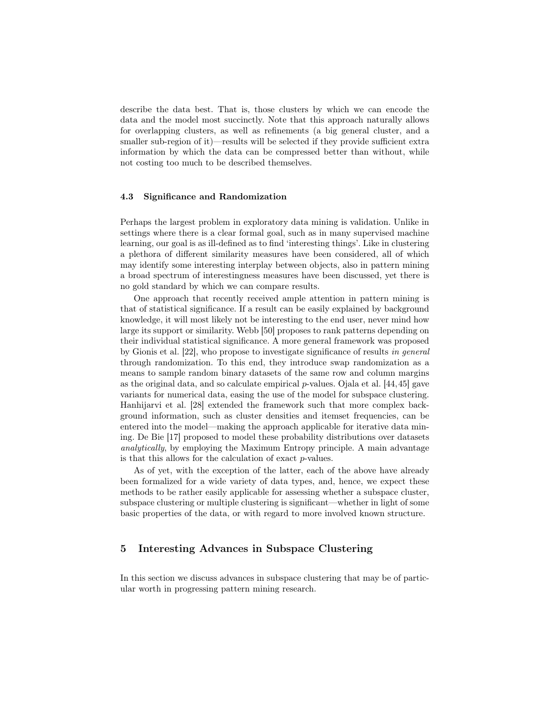describe the data best. That is, those clusters by which we can encode the data and the model most succinctly. Note that this approach naturally allows for overlapping clusters, as well as refinements (a big general cluster, and a smaller sub-region of it)—results will be selected if they provide sufficient extra information by which the data can be compressed better than without, while not costing too much to be described themselves.

#### 4.3 Significance and Randomization

Perhaps the largest problem in exploratory data mining is validation. Unlike in settings where there is a clear formal goal, such as in many supervised machine learning, our goal is as ill-defined as to find 'interesting things'. Like in clustering a plethora of different similarity measures have been considered, all of which may identify some interesting interplay between objects, also in pattern mining a broad spectrum of interestingness measures have been discussed, yet there is no gold standard by which we can compare results.

One approach that recently received ample attention in pattern mining is that of statistical significance. If a result can be easily explained by background knowledge, it will most likely not be interesting to the end user, never mind how large its support or similarity. Webb [50] proposes to rank patterns depending on their individual statistical significance. A more general framework was proposed by Gionis et al. [22], who propose to investigate significance of results in general through randomization. To this end, they introduce swap randomization as a means to sample random binary datasets of the same row and column margins as the original data, and so calculate empirical  $p$ -values. Ojala et al. [44,45] gave variants for numerical data, easing the use of the model for subspace clustering. Hanhijarvi et al. [28] extended the framework such that more complex background information, such as cluster densities and itemset frequencies, can be entered into the model—making the approach applicable for iterative data mining. De Bie [17] proposed to model these probability distributions over datasets analytically, by employing the Maximum Entropy principle. A main advantage is that this allows for the calculation of exact p-values.

As of yet, with the exception of the latter, each of the above have already been formalized for a wide variety of data types, and, hence, we expect these methods to be rather easily applicable for assessing whether a subspace cluster, subspace clustering or multiple clustering is significant—whether in light of some basic properties of the data, or with regard to more involved known structure.

## 5 Interesting Advances in Subspace Clustering

In this section we discuss advances in subspace clustering that may be of particular worth in progressing pattern mining research.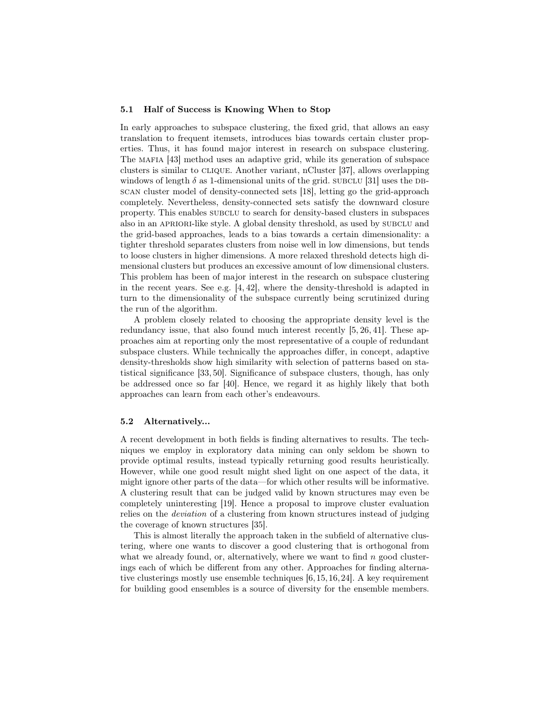#### 5.1 Half of Success is Knowing When to Stop

In early approaches to subspace clustering, the fixed grid, that allows an easy translation to frequent itemsets, introduces bias towards certain cluster properties. Thus, it has found major interest in research on subspace clustering. The mafia [43] method uses an adaptive grid, while its generation of subspace clusters is similar to clique. Another variant, nCluster [37], allows overlapping windows of length  $\delta$  as 1-dimensional units of the grid. SUBCLU [31] uses the DBscan cluster model of density-connected sets [18], letting go the grid-approach completely. Nevertheless, density-connected sets satisfy the downward closure property. This enables SUBCLU to search for density-based clusters in subspaces also in an APRIORI-like style. A global density threshold, as used by SUBCLU and the grid-based approaches, leads to a bias towards a certain dimensionality: a tighter threshold separates clusters from noise well in low dimensions, but tends to loose clusters in higher dimensions. A more relaxed threshold detects high dimensional clusters but produces an excessive amount of low dimensional clusters. This problem has been of major interest in the research on subspace clustering in the recent years. See e.g. [4, 42], where the density-threshold is adapted in turn to the dimensionality of the subspace currently being scrutinized during the run of the algorithm.

A problem closely related to choosing the appropriate density level is the redundancy issue, that also found much interest recently [5, 26, 41]. These approaches aim at reporting only the most representative of a couple of redundant subspace clusters. While technically the approaches differ, in concept, adaptive density-thresholds show high similarity with selection of patterns based on statistical significance [33, 50]. Significance of subspace clusters, though, has only be addressed once so far [40]. Hence, we regard it as highly likely that both approaches can learn from each other's endeavours.

#### 5.2 Alternatively...

A recent development in both fields is finding alternatives to results. The techniques we employ in exploratory data mining can only seldom be shown to provide optimal results, instead typically returning good results heuristically. However, while one good result might shed light on one aspect of the data, it might ignore other parts of the data—for which other results will be informative. A clustering result that can be judged valid by known structures may even be completely uninteresting [19]. Hence a proposal to improve cluster evaluation relies on the deviation of a clustering from known structures instead of judging the coverage of known structures [35].

This is almost literally the approach taken in the subfield of alternative clustering, where one wants to discover a good clustering that is orthogonal from what we already found, or, alternatively, where we want to find  $n$  good clusterings each of which be different from any other. Approaches for finding alternative clusterings mostly use ensemble techniques [6,15,16,24]. A key requirement for building good ensembles is a source of diversity for the ensemble members.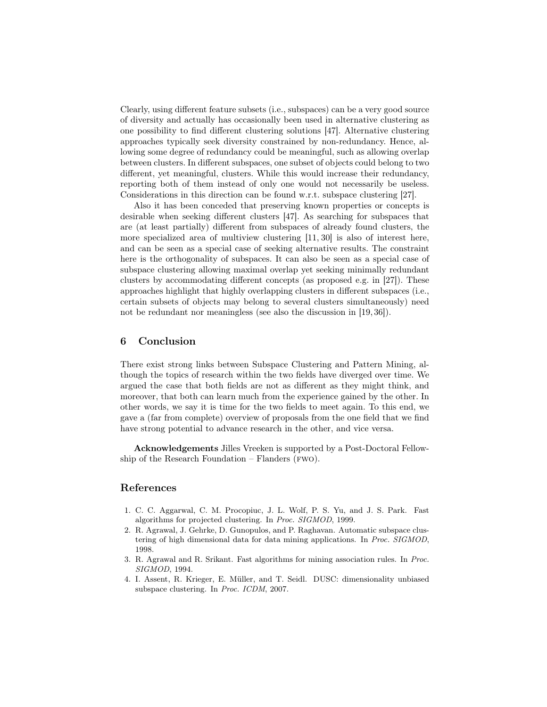Clearly, using different feature subsets (i.e., subspaces) can be a very good source of diversity and actually has occasionally been used in alternative clustering as one possibility to find different clustering solutions [47]. Alternative clustering approaches typically seek diversity constrained by non-redundancy. Hence, allowing some degree of redundancy could be meaningful, such as allowing overlap between clusters. In different subspaces, one subset of objects could belong to two different, yet meaningful, clusters. While this would increase their redundancy, reporting both of them instead of only one would not necessarily be useless. Considerations in this direction can be found w.r.t. subspace clustering [27].

Also it has been conceded that preserving known properties or concepts is desirable when seeking different clusters [47]. As searching for subspaces that are (at least partially) different from subspaces of already found clusters, the more specialized area of multiview clustering [11, 30] is also of interest here, and can be seen as a special case of seeking alternative results. The constraint here is the orthogonality of subspaces. It can also be seen as a special case of subspace clustering allowing maximal overlap yet seeking minimally redundant clusters by accommodating different concepts (as proposed e.g. in [27]). These approaches highlight that highly overlapping clusters in different subspaces (i.e., certain subsets of objects may belong to several clusters simultaneously) need not be redundant nor meaningless (see also the discussion in [19, 36]).

## 6 Conclusion

There exist strong links between Subspace Clustering and Pattern Mining, although the topics of research within the two fields have diverged over time. We argued the case that both fields are not as different as they might think, and moreover, that both can learn much from the experience gained by the other. In other words, we say it is time for the two fields to meet again. To this end, we gave a (far from complete) overview of proposals from the one field that we find have strong potential to advance research in the other, and vice versa.

Acknowledgements Jilles Vreeken is supported by a Post-Doctoral Fellowship of the Research Foundation – Flanders ( $FWO$ ).

## References

- 1. C. C. Aggarwal, C. M. Procopiuc, J. L. Wolf, P. S. Yu, and J. S. Park. Fast algorithms for projected clustering. In Proc. SIGMOD, 1999.
- 2. R. Agrawal, J. Gehrke, D. Gunopulos, and P. Raghavan. Automatic subspace clustering of high dimensional data for data mining applications. In Proc. SIGMOD, 1998.
- 3. R. Agrawal and R. Srikant. Fast algorithms for mining association rules. In Proc. SIGMOD, 1994.
- 4. I. Assent, R. Krieger, E. Müller, and T. Seidl. DUSC: dimensionality unbiased subspace clustering. In Proc. ICDM, 2007.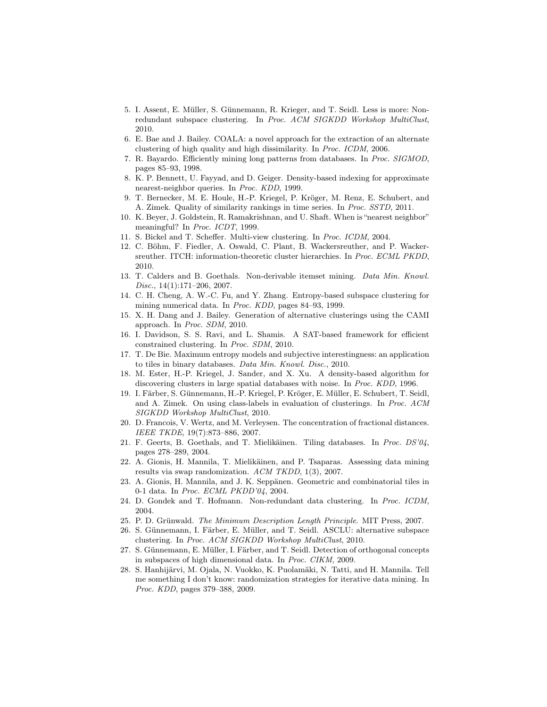- 5. I. Assent, E. Müller, S. Günnemann, R. Krieger, and T. Seidl. Less is more: Nonredundant subspace clustering. In Proc. ACM SIGKDD Workshop MultiClust, 2010.
- 6. E. Bae and J. Bailey. COALA: a novel approach for the extraction of an alternate clustering of high quality and high dissimilarity. In Proc. ICDM, 2006.
- 7. R. Bayardo. Efficiently mining long patterns from databases. In Proc. SIGMOD, pages 85–93, 1998.
- 8. K. P. Bennett, U. Fayyad, and D. Geiger. Density-based indexing for approximate nearest-neighbor queries. In Proc. KDD, 1999.
- 9. T. Bernecker, M. E. Houle, H.-P. Kriegel, P. Kröger, M. Renz, E. Schubert, and A. Zimek. Quality of similarity rankings in time series. In Proc. SSTD, 2011.
- 10. K. Beyer, J. Goldstein, R. Ramakrishnan, and U. Shaft. When is "nearest neighbor" meaningful? In Proc. ICDT, 1999.
- 11. S. Bickel and T. Scheffer. Multi-view clustering. In Proc. ICDM, 2004.
- 12. C. Böhm, F. Fiedler, A. Oswald, C. Plant, B. Wackersreuther, and P. Wackersreuther. ITCH: information-theoretic cluster hierarchies. In Proc. ECML PKDD, 2010.
- 13. T. Calders and B. Goethals. Non-derivable itemset mining. Data Min. Knowl. Disc., 14(1):171–206, 2007.
- 14. C. H. Cheng, A. W.-C. Fu, and Y. Zhang. Entropy-based subspace clustering for mining numerical data. In Proc. KDD, pages 84–93, 1999.
- 15. X. H. Dang and J. Bailey. Generation of alternative clusterings using the CAMI approach. In Proc. SDM, 2010.
- 16. I. Davidson, S. S. Ravi, and L. Shamis. A SAT-based framework for efficient constrained clustering. In Proc. SDM, 2010.
- 17. T. De Bie. Maximum entropy models and subjective interestingness: an application to tiles in binary databases. Data Min. Knowl. Disc., 2010.
- 18. M. Ester, H.-P. Kriegel, J. Sander, and X. Xu. A density-based algorithm for discovering clusters in large spatial databases with noise. In Proc. KDD, 1996.
- 19. I. Färber, S. Günnemann, H.-P. Kriegel, P. Kröger, E. Müller, E. Schubert, T. Seidl, and A. Zimek. On using class-labels in evaluation of clusterings. In Proc. ACM SIGKDD Workshop MultiClust, 2010.
- 20. D. Francois, V. Wertz, and M. Verleysen. The concentration of fractional distances. IEEE TKDE, 19(7):873–886, 2007.
- 21. F. Geerts, B. Goethals, and T. Mielikäinen. Tiling databases. In Proc. DS'04, pages 278–289, 2004.
- 22. A. Gionis, H. Mannila, T. Mielikäinen, and P. Tsaparas. Assessing data mining results via swap randomization. ACM TKDD, 1(3), 2007.
- 23. A. Gionis, H. Mannila, and J. K. Seppänen. Geometric and combinatorial tiles in 0-1 data. In Proc. ECML PKDD'04, 2004.
- 24. D. Gondek and T. Hofmann. Non-redundant data clustering. In Proc. ICDM, 2004.
- 25. P. D. Grünwald. The Minimum Description Length Principle. MIT Press, 2007.
- 26. S. Günnemann, I. Färber, E. Müller, and T. Seidl. ASCLU: alternative subspace clustering. In Proc. ACM SIGKDD Workshop MultiClust, 2010.
- 27. S. Günnemann, E. Müller, I. Färber, and T. Seidl. Detection of orthogonal concepts in subspaces of high dimensional data. In Proc. CIKM, 2009.
- 28. S. Hanhijärvi, M. Ojala, N. Vuokko, K. Puolamäki, N. Tatti, and H. Mannila. Tell me something I don't know: randomization strategies for iterative data mining. In Proc. KDD, pages 379–388, 2009.